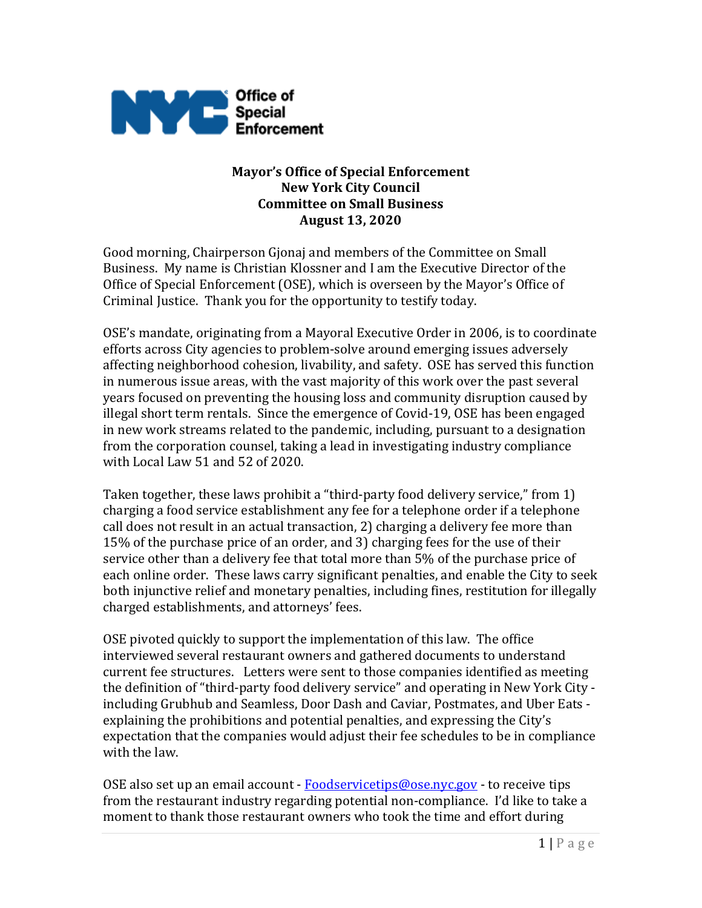

#### **Mayor's Office of Special Enforcement New York City Council Committee on Small Business August 13, 2020**

Good morning, Chairperson Gjonaj and members of the Committee on Small Business. My name is Christian Klossner and I am the Executive Director of the Office of Special Enforcement (OSE), which is overseen by the Mayor's Office of Criminal Justice. Thank you for the opportunity to testify today.

OSE's mandate, originating from a Mayoral Executive Order in 2006, is to coordinate efforts across City agencies to problem-solve around emerging issues adversely affecting neighborhood cohesion, livability, and safety. OSE has served this function in numerous issue areas, with the vast majority of this work over the past several years focused on preventing the housing loss and community disruption caused by illegal short term rentals. Since the emergence of Covid-19, OSE has been engaged in new work streams related to the pandemic, including, pursuant to a designation from the corporation counsel, taking a lead in investigating industry compliance with Local Law 51 and 52 of 2020.

Taken together, these laws prohibit a "third-party food delivery service," from 1) charging a food service establishment any fee for a telephone order if a telephone call does not result in an actual transaction, 2) charging a delivery fee more than 15% of the purchase price of an order, and 3) charging fees for the use of their service other than a delivery fee that total more than 5% of the purchase price of each online order. These laws carry significant penalties, and enable the City to seek both injunctive relief and monetary penalties, including fines, restitution for illegally charged establishments, and attorneys' fees.

OSE pivoted quickly to support the implementation of this law. The office interviewed several restaurant owners and gathered documents to understand current fee structures. Letters were sent to those companies identified as meeting the definition of "third-party food delivery service" and operating in New York City including Grubhub and Seamless, Door Dash and Caviar, Postmates, and Uber Eats explaining the prohibitions and potential penalties, and expressing the City's expectation that the companies would adjust their fee schedules to be in compliance with the law.

OSE also set up an email account -  $F$ oodservicetips@ose.nyc.gov - to receive tips from the restaurant industry regarding potential non-compliance. I'd like to take a moment to thank those restaurant owners who took the time and effort during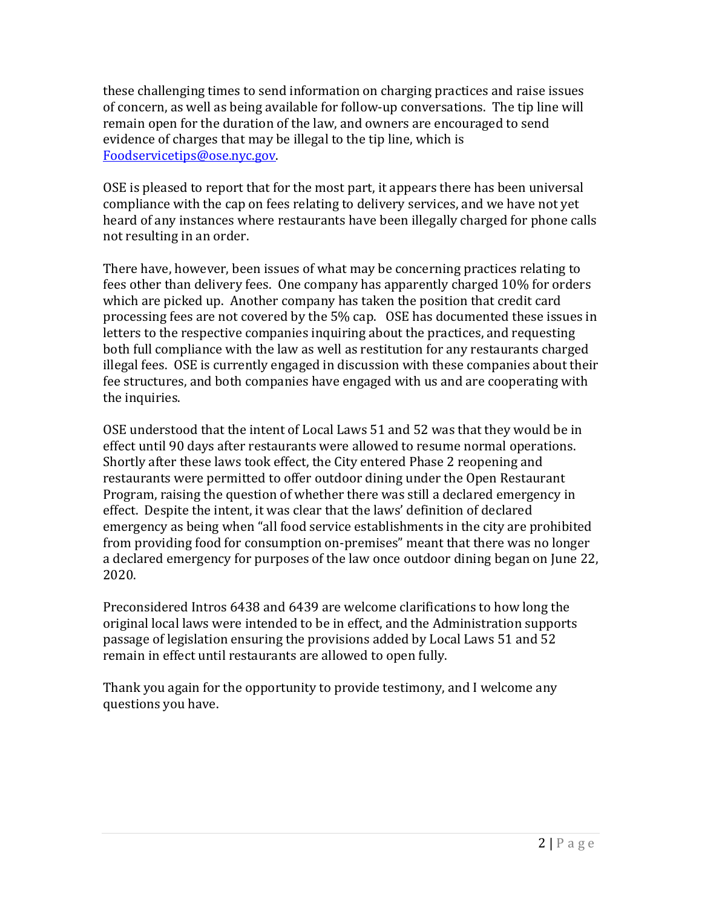these challenging times to send information on charging practices and raise issues of concern, as well as being available for follow-up conversations. The tip line will remain open for the duration of the law, and owners are encouraged to send evidence of charges that may be illegal to the tip line, which is Foodservicetips@ose.nyc.gov.

OSE is pleased to report that for the most part, it appears there has been universal compliance with the cap on fees relating to delivery services, and we have not yet heard of any instances where restaurants have been illegally charged for phone calls not resulting in an order.

There have, however, been issues of what may be concerning practices relating to fees other than delivery fees. One company has apparently charged 10% for orders which are picked up. Another company has taken the position that credit card processing fees are not covered by the 5% cap. OSE has documented these issues in letters to the respective companies inquiring about the practices, and requesting both full compliance with the law as well as restitution for any restaurants charged illegal fees. OSE is currently engaged in discussion with these companies about their fee structures, and both companies have engaged with us and are cooperating with the inquiries.

OSE understood that the intent of Local Laws 51 and 52 was that they would be in effect until 90 days after restaurants were allowed to resume normal operations. Shortly after these laws took effect, the City entered Phase 2 reopening and restaurants were permitted to offer outdoor dining under the Open Restaurant Program, raising the question of whether there was still a declared emergency in effect. Despite the intent, it was clear that the laws' definition of declared emergency as being when "all food service establishments in the city are prohibited from providing food for consumption on-premises" meant that there was no longer a declared emergency for purposes of the law once outdoor dining began on June 22, 2020.

Preconsidered Intros 6438 and 6439 are welcome clarifications to how long the original local laws were intended to be in effect, and the Administration supports passage of legislation ensuring the provisions added by Local Laws 51 and 52 remain in effect until restaurants are allowed to open fully.

Thank you again for the opportunity to provide testimony, and I welcome any questions you have.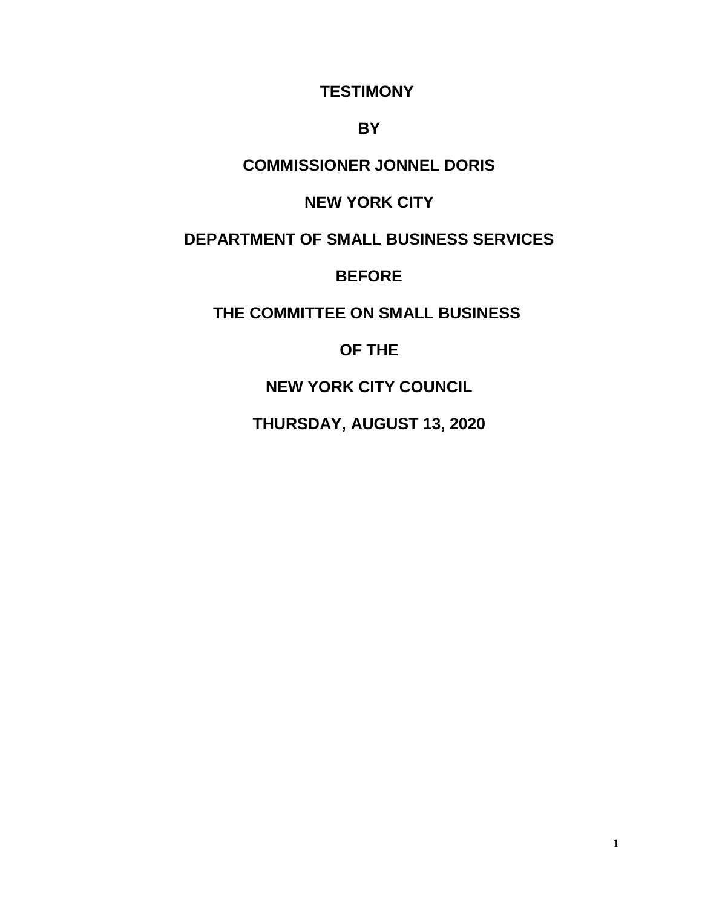#### **TESTIMONY**

### **BY**

# **COMMISSIONER JONNEL DORIS**

# **NEW YORK CITY**

# **DEPARTMENT OF SMALL BUSINESS SERVICES**

### **BEFORE**

# **THE COMMITTEE ON SMALL BUSINESS**

# **OF THE**

# **NEW YORK CITY COUNCIL**

# **THURSDAY, AUGUST 13, 2020**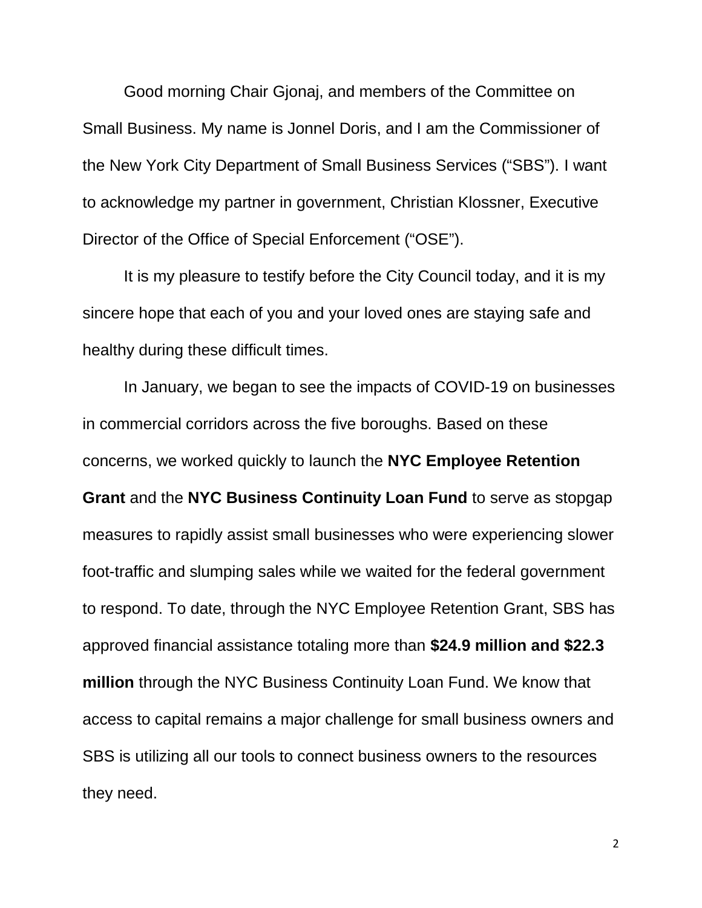Good morning Chair Gjonaj, and members of the Committee on Small Business. My name is Jonnel Doris, and I am the Commissioner of the New York City Department of Small Business Services ("SBS"). I want to acknowledge my partner in government, Christian Klossner, Executive Director of the Office of Special Enforcement ("OSE").

It is my pleasure to testify before the City Council today, and it is my sincere hope that each of you and your loved ones are staying safe and healthy during these difficult times.

In January, we began to see the impacts of COVID-19 on businesses in commercial corridors across the five boroughs. Based on these concerns, we worked quickly to launch the **NYC Employee Retention Grant** and the **NYC Business Continuity Loan Fund** to serve as stopgap measures to rapidly assist small businesses who were experiencing slower foot-traffic and slumping sales while we waited for the federal government to respond. To date, through the NYC Employee Retention Grant, SBS has approved financial assistance totaling more than **\$24.9 million and \$22.3 million** through the NYC Business Continuity Loan Fund. We know that access to capital remains a major challenge for small business owners and SBS is utilizing all our tools to connect business owners to the resources they need.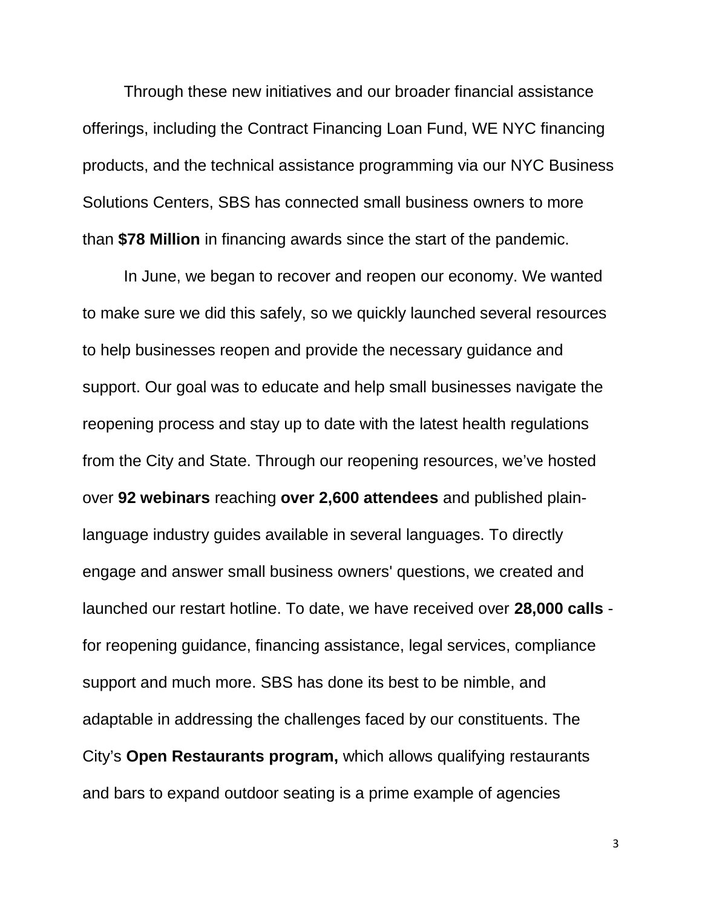Through these new initiatives and our broader financial assistance offerings, including the Contract Financing Loan Fund, WE NYC financing products, and the technical assistance programming via our NYC Business Solutions Centers, SBS has connected small business owners to more than **\$78 Million** in financing awards since the start of the pandemic.

In June, we began to recover and reopen our economy. We wanted to make sure we did this safely, so we quickly launched several resources to help businesses reopen and provide the necessary guidance and support. Our goal was to educate and help small businesses navigate the reopening process and stay up to date with the latest health regulations from the City and State. Through our reopening resources, we've hosted over **92 webinars** reaching **over 2,600 attendees** and published plainlanguage industry guides available in several languages. To directly engage and answer small business owners' questions, we created and launched our restart hotline. To date, we have received over **28,000 calls** for reopening guidance, financing assistance, legal services, compliance support and much more. SBS has done its best to be nimble, and adaptable in addressing the challenges faced by our constituents. The City's **Open Restaurants program,** which allows qualifying restaurants and bars to expand outdoor seating is a prime example of agencies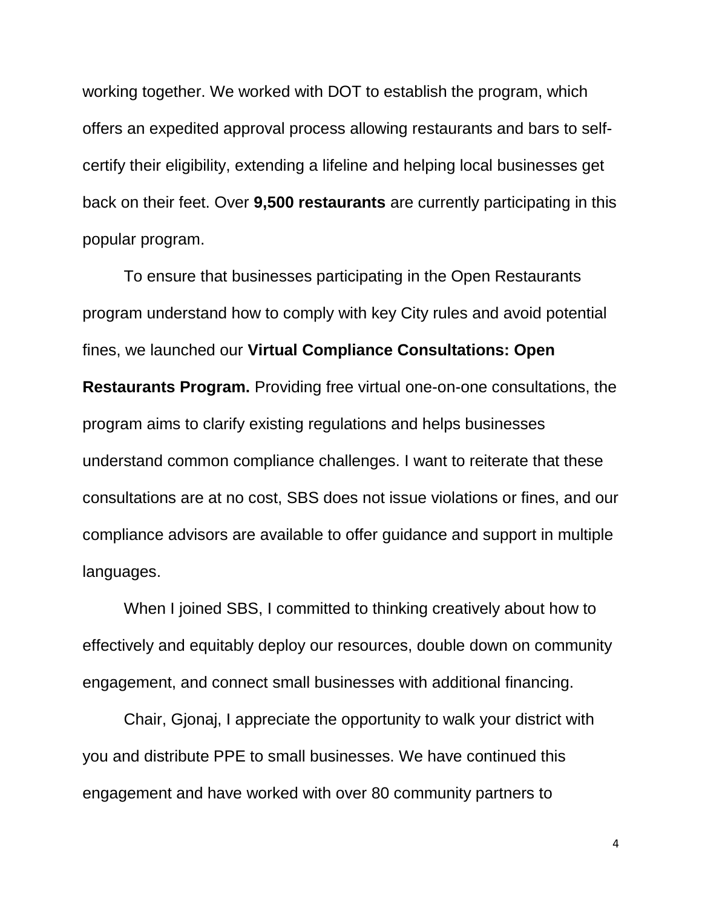working together. We worked with DOT to establish the program, which offers an expedited approval process allowing restaurants and bars to selfcertify their eligibility, extending a lifeline and helping local businesses get back on their feet. Over **9,500 restaurants** are currently participating in this popular program.

To ensure that businesses participating in the Open Restaurants program understand how to comply with key City rules and avoid potential fines, we launched our **Virtual Compliance Consultations: Open Restaurants Program.** Providing free virtual one-on-one consultations, the program aims to clarify existing regulations and helps businesses understand common compliance challenges. I want to reiterate that these consultations are at no cost, SBS does not issue violations or fines, and our compliance advisors are available to offer guidance and support in multiple languages.

When I joined SBS, I committed to thinking creatively about how to effectively and equitably deploy our resources, double down on community engagement, and connect small businesses with additional financing.

Chair, Gjonaj, I appreciate the opportunity to walk your district with you and distribute PPE to small businesses. We have continued this engagement and have worked with over 80 community partners to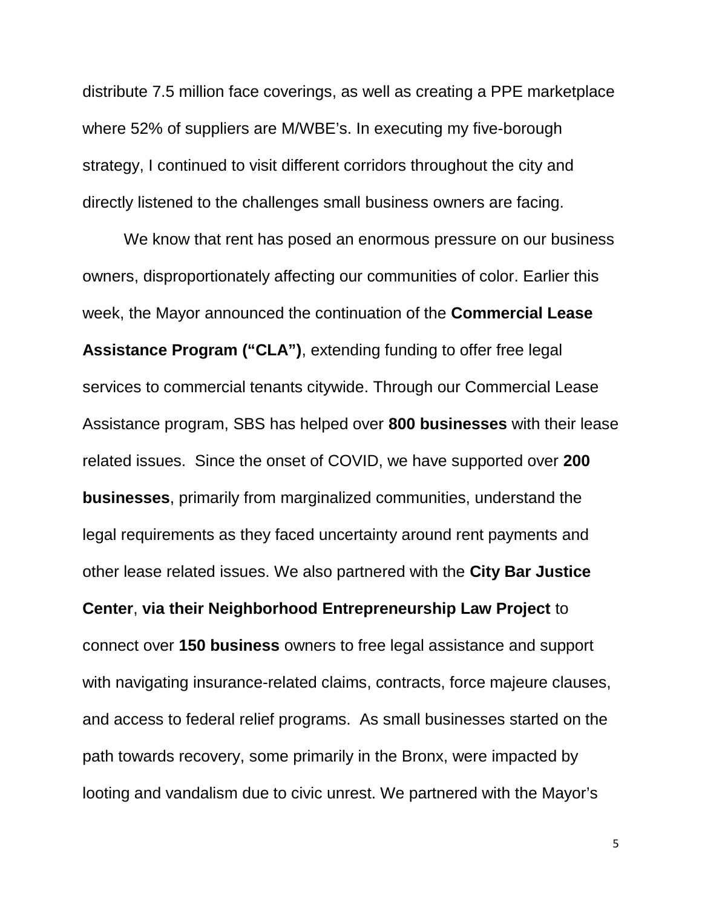distribute 7.5 million face coverings, as well as creating a PPE marketplace where 52% of suppliers are M/WBE's. In executing my five-borough strategy, I continued to visit different corridors throughout the city and directly listened to the challenges small business owners are facing.

We know that rent has posed an enormous pressure on our business owners, disproportionately affecting our communities of color. Earlier this week, the Mayor announced the continuation of the **Commercial Lease Assistance Program ("CLA")**, extending funding to offer free legal services to commercial tenants citywide. Through our Commercial Lease Assistance program, SBS has helped over **800 businesses** with their lease related issues. Since the onset of COVID, we have supported over **200 businesses**, primarily from marginalized communities, understand the legal requirements as they faced uncertainty around rent payments and other lease related issues. We also partnered with the **City Bar Justice Center**, **via their Neighborhood Entrepreneurship Law Project** to connect over **150 business** owners to free legal assistance and support with navigating insurance-related claims, contracts, force majeure clauses, and access to federal relief programs. As small businesses started on the path towards recovery, some primarily in the Bronx, were impacted by looting and vandalism due to civic unrest. We partnered with the Mayor's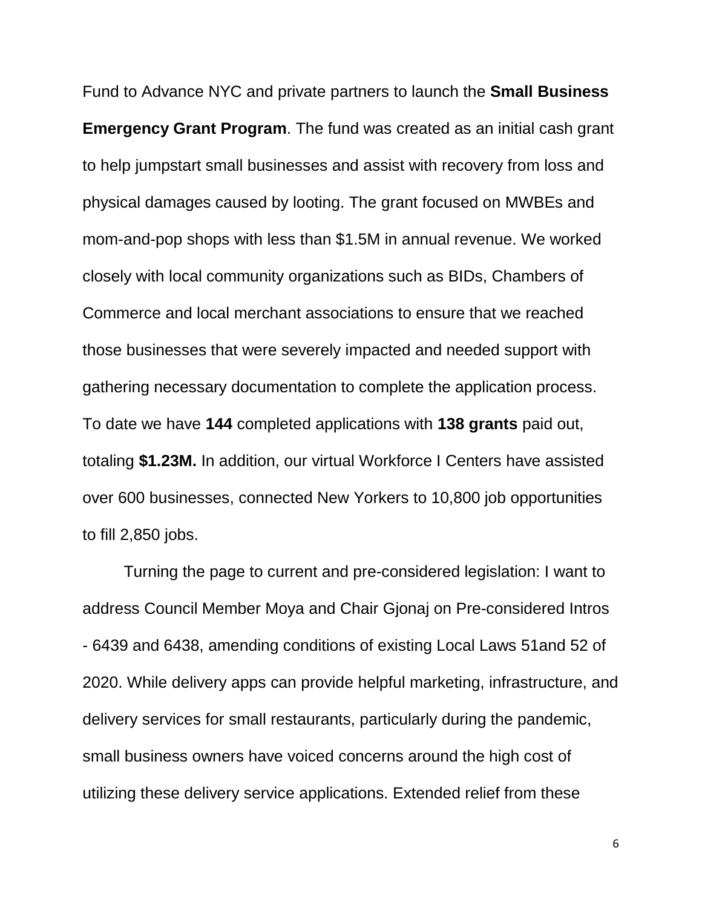Fund to Advance NYC and private partners to launch the **Small Business Emergency Grant Program**. The fund was created as an initial cash grant to help jumpstart small businesses and assist with recovery from loss and physical damages caused by looting. The grant focused on MWBEs and mom-and-pop shops with less than \$1.5M in annual revenue. We worked closely with local community organizations such as BIDs, Chambers of Commerce and local merchant associations to ensure that we reached those businesses that were severely impacted and needed support with gathering necessary documentation to complete the application process. To date we have **144** completed applications with **138 grants** paid out, totaling **\$1.23M.** In addition, our virtual Workforce I Centers have assisted over 600 businesses, connected New Yorkers to 10,800 job opportunities to fill 2,850 jobs.

Turning the page to current and pre-considered legislation: I want to address Council Member Moya and Chair Gjonaj on Pre-considered Intros - 6439 and 6438, amending conditions of existing Local Laws 51and 52 of 2020. While delivery apps can provide helpful marketing, infrastructure, and delivery services for small restaurants, particularly during the pandemic, small business owners have voiced concerns around the high cost of utilizing these delivery service applications. Extended relief from these